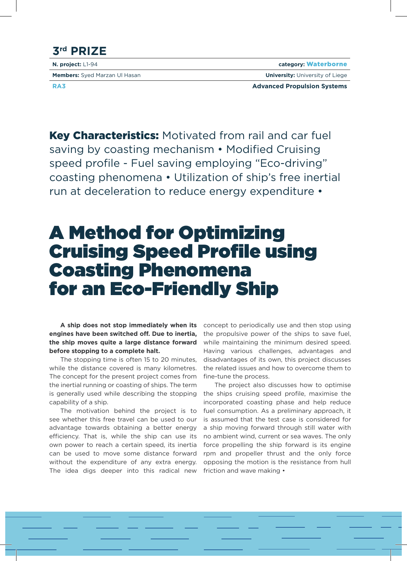## **3rd PRIZE**

**Members:** Syed Marzan Ul Hasan **University:** University of Liege

**N. project:** L1-94 **category:** Waterborne

**RA3 Advanced Propulsion Systems**

**Key Characteristics:** Motivated from rail and car fuel saving by coasting mechanism • Modified Cruising speed profile - Fuel saving employing "Eco-driving" coasting phenomena • Utilization of ship's free inertial run at deceleration to reduce energy expenditure •

## A Method for Optimizing Cruising Speed Profile using Coasting Phenomena for an Eco-Friendly Ship

**A ship does not stop immediately when its engines have been switched off. Due to inertia, the ship moves quite a large distance forward before stopping to a complete halt.** 

The stopping time is often 15 to 20 minutes, while the distance covered is many kilometres. The concept for the present project comes from the inertial running or coasting of ships. The term is generally used while describing the stopping capability of a ship.

The motivation behind the project is to see whether this free travel can be used to our advantage towards obtaining a better energy efficiency. That is, while the ship can use its own power to reach a certain speed, its inertia can be used to move some distance forward without the expenditure of any extra energy. The idea digs deeper into this radical new

concept to periodically use and then stop using the propulsive power of the ships to save fuel, while maintaining the minimum desired speed. Having various challenges, advantages and disadvantages of its own, this project discusses the related issues and how to overcome them to fine-tune the process.

The project also discusses how to optimise the ships cruising speed profile, maximise the incorporated coasting phase and help reduce fuel consumption. As a preliminary approach, it is assumed that the test case is considered for a ship moving forward through still water with no ambient wind, current or sea waves. The only force propelling the ship forward is its engine rpm and propeller thrust and the only force opposing the motion is the resistance from hull friction and wave making •